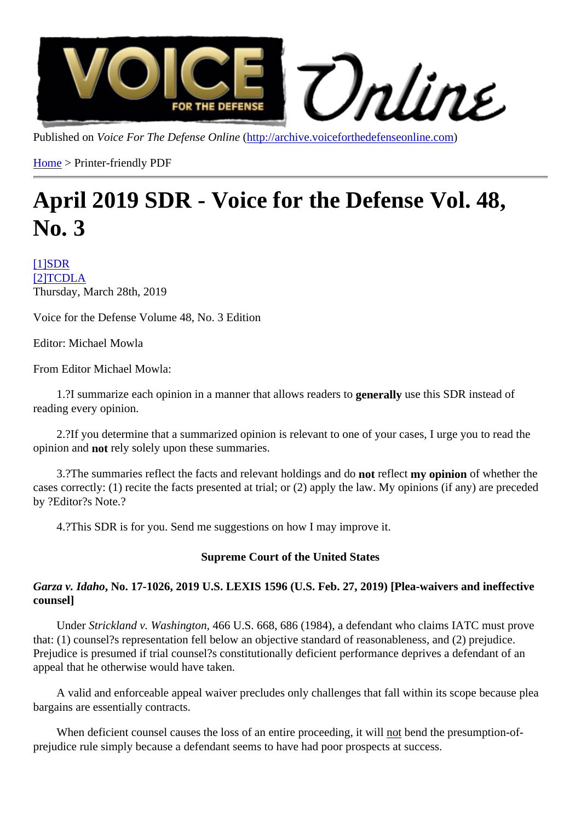Published on Voice For The Defense Onlinettp://archive.voiceforthedefenseonline.com

Home > Printer-friendly PDF

# [Ap](http://archive.voiceforthedefenseonline.com/)ril 2019 SDR - Vo[ice for the Defense V](http://archive.voiceforthedefenseonline.com)ol. 48, No. 3

[1]SDR [2]TCDLA Thursday, March 28th, 2019

[Voic](http://archive.voiceforthedefenseonline.com/channel/2/stories)[e fo](http://archive.voiceforthedefenseonline.com/source/tcdla)r the Defense Volume 48, No. 3 Edition

Editor: Michael Mowla

From Editor Michael Mowla:

1.?I summarize each opinion in a manner that allows readers to guive this SDR instead of reading every opinion.

 2.?If you determine that a summarized opinion is relevant to one of your cases, I urge you to read the opinion and not rely solely upon these summaries.

3.? The summaries reflect the facts and relevant holdings and redisct my opinion of whether the cases correctly: (1) recite the facts presented at trial; or (2) apply the law. My opinions (if any) are preceded by ?Editor?s Note.?

4.?This SDR is for you. Send me suggestions on how I may improve it.

Supreme Court of the United States

Garza v. Idaho, No. 17-1026, 2019 U.S. LEXIS 1596 (U.S. Feb. 27, 2019) [Plea-waivers and ineffective counsel]

Under Strickland v. Washington, 66 U.S. 668, 686 (1984), a defendant who claims IATC must prove that: (1) counsel?s representation fell below an objective standard of reasonableness, and (2) prejudice. Prejudice is presumed if trial counsel?s constitutionally deficient performance deprives a defendant of an appeal that he otherwise would have taken.

 A valid and enforceable appeal waiver precludes only challenges that fall within its scope because plea bargains are essentially contracts.

When deficient counsel causes the loss of an entire proceeding intuition the presumption-ofprejudice rule simply because a defendant seems to have had poor prospects at success.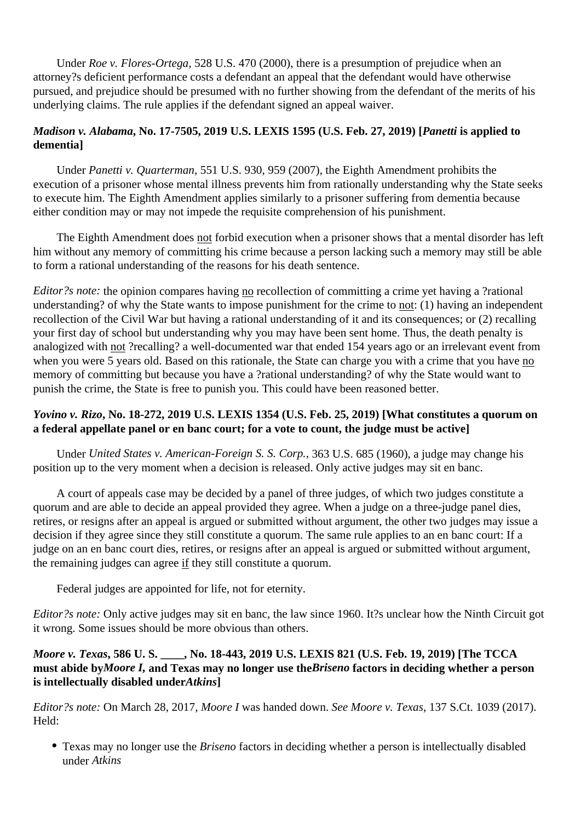Under *Roe v. Flores-Ortega,* 528 U.S. 470 (2000), there is a presumption of prejudice when an attorney?s deficient performance costs a defendant an appeal that the defendant would have otherwise pursued, and prejudice should be presumed with no further showing from the defendant of the merits of his underlying claims. The rule applies if the defendant signed an appeal waiver.

#### *Madison v. Alabama***, No. 17-7505, 2019 U.S. LEXIS 1595 (U.S. Feb. 27, 2019) [***Panetti* **is applied to dementia]**

 Under *Panetti v. Quarterman,* 551 U.S. 930, 959 (2007), the Eighth Amendment prohibits the execution of a prisoner whose mental illness prevents him from rationally understanding why the State seeks to execute him. The Eighth Amendment applies similarly to a prisoner suffering from dementia because either condition may or may not impede the requisite comprehension of his punishment.

 The Eighth Amendment does not forbid execution when a prisoner shows that a mental disorder has left him without any memory of committing his crime because a person lacking such a memory may still be able to form a rational understanding of the reasons for his death sentence.

*Editor?s note:* the opinion compares having no recollection of committing a crime yet having a ?rational understanding? of why the State wants to impose punishment for the crime to not: (1) having an independent recollection of the Civil War but having a rational understanding of it and its consequences; or (2) recalling your first day of school but understanding why you may have been sent home. Thus, the death penalty is analogized with not ?recalling? a well-documented war that ended 154 years ago or an irrelevant event from when you were 5 years old. Based on this rationale, the State can charge you with a crime that you have no memory of committing but because you have a ?rational understanding? of why the State would want to punish the crime, the State is free to punish you. This could have been reasoned better.

## *Yovino v. Rizo***, No. 18-272, 2019 U.S. LEXIS 1354 (U.S. Feb. 25, 2019) [What constitutes a quorum on a federal appellate panel or en banc court; for a vote to count, the judge must be active]**

 Under *United States v. American-Foreign S. S. Corp.,* 363 U.S. 685 (1960), a judge may change his position up to the very moment when a decision is released. Only active judges may sit en banc.

 A court of appeals case may be decided by a panel of three judges, of which two judges constitute a quorum and are able to decide an appeal provided they agree. When a judge on a three-judge panel dies, retires, or resigns after an appeal is argued or submitted without argument, the other two judges may issue a decision if they agree since they still constitute a quorum. The same rule applies to an en banc court: If a judge on an en banc court dies, retires, or resigns after an appeal is argued or submitted without argument, the remaining judges can agree if they still constitute a quorum.

Federal judges are appointed for life, not for eternity.

*Editor?s note:* Only active judges may sit en banc, the law since 1960. It?s unclear how the Ninth Circuit got it wrong. Some issues should be more obvious than others.

## *Moore v. Texas***, 586 U. S. \_\_\_\_, No. 18-443, 2019 U.S. LEXIS 821 (U.S. Feb. 19, 2019) [The TCCA must abide by***Moore I,* **and Texas may no longer use the***Briseno* **factors in deciding whether a person is intellectually disabled under***Atkins***]**

*Editor?s note:* On March 28, 2017, *Moore I* was handed down. *See Moore v. Texas*, 137 S.Ct. 1039 (2017). Held:

Texas may no longer use the *Briseno* factors in deciding whether a person is intellectually disabled under *Atkins*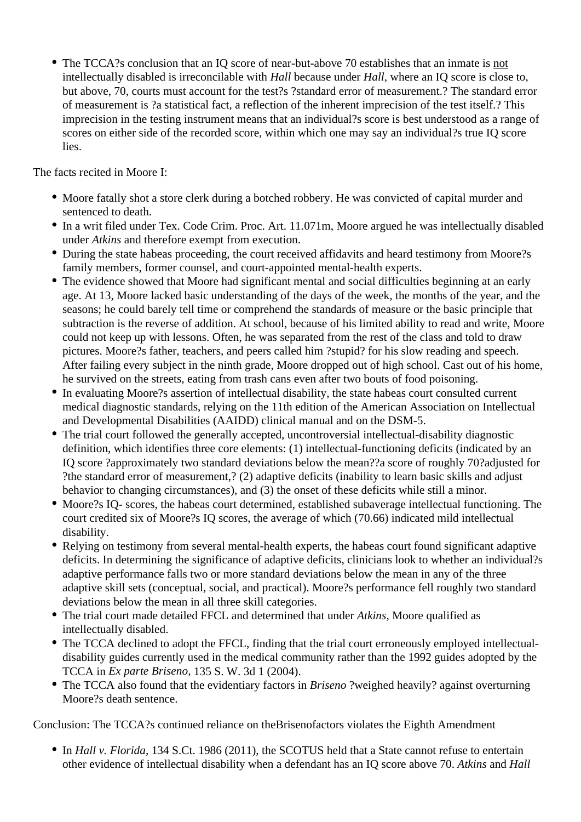The TCCA?s conclusion that an IQ score of near-but-above 70 establishes that an inmate is not intellectually disabled is irreconcilable with *Hall* because under *Hall,* where an IQ score is close to, but above, 70, courts must account for the test?s ?standard error of measurement.? The standard error of measurement is ?a statistical fact, a reflection of the inherent imprecision of the test itself.? This imprecision in the testing instrument means that an individual?s score is best understood as a range of scores on either side of the recorded score, within which one may say an individual?s true IQ score lies.

The facts recited in Moore I:

- Moore fatally shot a store clerk during a botched robbery. He was convicted of capital murder and sentenced to death.
- In a writ filed under Tex. Code Crim. Proc. Art. 11.071m, Moore argued he was intellectually disabled under *Atkins* and therefore exempt from execution.
- During the state habeas proceeding, the court received affidavits and heard testimony from Moore?s family members, former counsel, and court-appointed mental-health experts.
- The evidence showed that Moore had significant mental and social difficulties beginning at an early age. At 13, Moore lacked basic understanding of the days of the week, the months of the year, and the seasons; he could barely tell time or comprehend the standards of measure or the basic principle that subtraction is the reverse of addition. At school, because of his limited ability to read and write, Moore could not keep up with lessons. Often, he was separated from the rest of the class and told to draw pictures. Moore?s father, teachers, and peers called him ?stupid? for his slow reading and speech. After failing every subject in the ninth grade, Moore dropped out of high school. Cast out of his home, he survived on the streets, eating from trash cans even after two bouts of food poisoning.
- In evaluating Moore?s assertion of intellectual disability, the state habeas court consulted current medical diagnostic standards, relying on the 11th edition of the American Association on Intellectual and Developmental Disabilities (AAIDD) clinical manual and on the DSM-5.
- The trial court followed the generally accepted, uncontroversial intellectual-disability diagnostic definition, which identifies three core elements: (1) intellectual-functioning deficits (indicated by an IQ score ?approximately two standard deviations below the mean??a score of roughly 70?adjusted for ?the standard error of measurement,? (2) adaptive deficits (inability to learn basic skills and adjust behavior to changing circumstances), and (3) the onset of these deficits while still a minor.
- Moore?s IQ- scores, the habeas court determined, established subaverage intellectual functioning. The court credited six of Moore?s IQ scores, the average of which (70.66) indicated mild intellectual disability.
- Relying on testimony from several mental-health experts, the habeas court found significant adaptive deficits. In determining the significance of adaptive deficits, clinicians look to whether an individual?s adaptive performance falls two or more standard deviations below the mean in any of the three adaptive skill sets (conceptual, social, and practical). Moore?s performance fell roughly two standard deviations below the mean in all three skill categories.
- The trial court made detailed FFCL and determined that under *Atkins,* Moore qualified as intellectually disabled.
- The TCCA declined to adopt the FFCL, finding that the trial court erroneously employed intellectualdisability guides currently used in the medical community rather than the 1992 guides adopted by the TCCA in *Ex parte Briseno,* 135 S. W. 3d 1 (2004).
- The TCCA also found that the evidentiary factors in *Briseno* ?weighed heavily? against overturning Moore?s death sentence.

Conclusion: The TCCA?s continued reliance on theBrisenofactors violates the Eighth Amendment

In *Hall v. Florida,* 134 S.Ct. 1986 (2011), the SCOTUS held that a State cannot refuse to entertain other evidence of intellectual disability when a defendant has an IQ score above 70. *Atkins* and *Hall*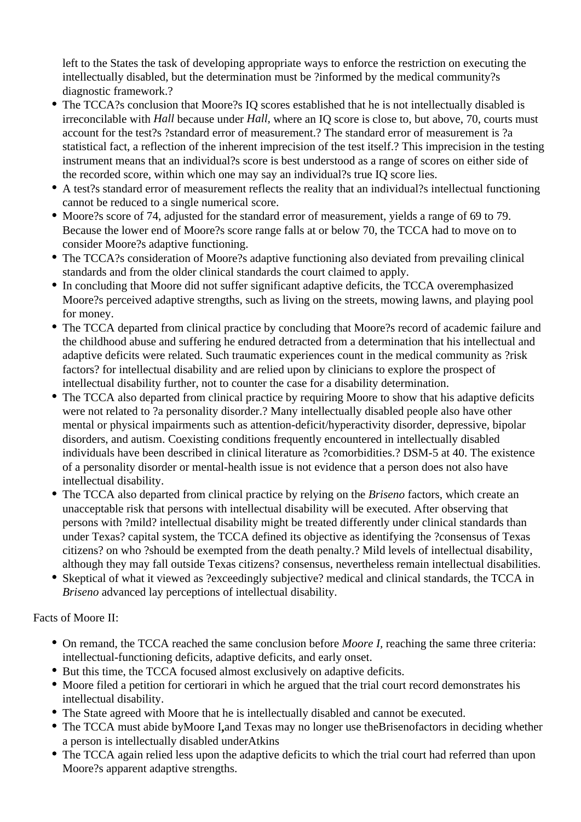left to the States the task of developing appropriate ways to enforce the restriction on executing the intellectually disabled, but the determination must be ?informed by the medical community?s diagnostic framework.?

- The TCCA?s conclusion that Moore?s IQ scores established that he is not intellectually disabled is irreconcilable with *Hall* because under *Hall,* where an IQ score is close to, but above, 70, courts must account for the test?s ?standard error of measurement.? The standard error of measurement is ?a statistical fact, a reflection of the inherent imprecision of the test itself.? This imprecision in the testing instrument means that an individual?s score is best understood as a range of scores on either side of the recorded score, within which one may say an individual?s true IQ score lies.
- A test?s standard error of measurement reflects the reality that an individual?s intellectual functioning cannot be reduced to a single numerical score.
- Moore?s score of 74, adjusted for the standard error of measurement, yields a range of 69 to 79. Because the lower end of Moore?s score range falls at or below 70, the TCCA had to move on to consider Moore?s adaptive functioning.
- The TCCA?s consideration of Moore?s adaptive functioning also deviated from prevailing clinical standards and from the older clinical standards the court claimed to apply.
- In concluding that Moore did not suffer significant adaptive deficits, the TCCA overemphasized Moore?s perceived adaptive strengths, such as living on the streets, mowing lawns, and playing pool for money.
- The TCCA departed from clinical practice by concluding that Moore?s record of academic failure and the childhood abuse and suffering he endured detracted from a determination that his intellectual and adaptive deficits were related. Such traumatic experiences count in the medical community as ?risk factors? for intellectual disability and are relied upon by clinicians to explore the prospect of intellectual disability further, not to counter the case for a disability determination.
- The TCCA also departed from clinical practice by requiring Moore to show that his adaptive deficits were not related to ?a personality disorder.? Many intellectually disabled people also have other mental or physical impairments such as attention-deficit/hyperactivity disorder, depressive, bipolar disorders, and autism. Coexisting conditions frequently encountered in intellectually disabled individuals have been described in clinical literature as ?comorbidities.? DSM-5 at 40. The existence of a personality disorder or mental-health issue is not evidence that a person does not also have intellectual disability.
- The TCCA also departed from clinical practice by relying on the *Briseno* factors, which create an unacceptable risk that persons with intellectual disability will be executed. After observing that persons with ?mild? intellectual disability might be treated differently under clinical standards than under Texas? capital system, the TCCA defined its objective as identifying the ?consensus of Texas citizens? on who ?should be exempted from the death penalty.? Mild levels of intellectual disability, although they may fall outside Texas citizens? consensus, nevertheless remain intellectual disabilities.
- Skeptical of what it viewed as ?exceedingly subjective? medical and clinical standards, the TCCA in *Briseno* advanced lay perceptions of intellectual disability.

Facts of Moore II:

- On remand, the TCCA reached the same conclusion before *Moore I,* reaching the same three criteria: intellectual-functioning deficits, adaptive deficits, and early onset.
- But this time, the TCCA focused almost exclusively on adaptive deficits.
- Moore filed a petition for certiorari in which he argued that the trial court record demonstrates his intellectual disability.
- The State agreed with Moore that he is intellectually disabled and cannot be executed.
- The TCCA must abide byMoore I**,**and Texas may no longer use theBrisenofactors in deciding whether a person is intellectually disabled underAtkins
- The TCCA again relied less upon the adaptive deficits to which the trial court had referred than upon Moore?s apparent adaptive strengths.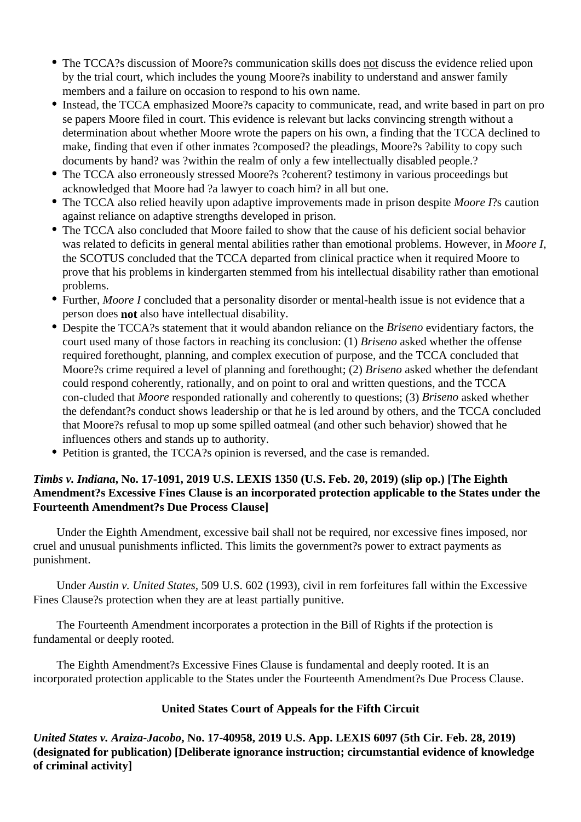- The TCCA?s discussion of Moore?s communication skills does not discuss the evidence relied upon by the trial court, which includes the young Moore?s inability to understand and answer family members and a failure on occasion to respond to his own name.
- Instead, the TCCA emphasized Moore?s capacity to communicate, read, and write based in part on pro se papers Moore filed in court. This evidence is relevant but lacks convincing strength without a determination about whether Moore wrote the papers on his own, a finding that the TCCA declined to make, finding that even if other inmates ?composed? the pleadings, Moore?s ?ability to copy such documents by hand? was ?within the realm of only a few intellectually disabled people.?
- The TCCA also erroneously stressed Moore?s ?coherent? testimony in various proceedings but acknowledged that Moore had ?a lawyer to coach him? in all but one.
- The TCCA also relied heavily upon adaptive improvements made in prison despite *Moore I*?s caution against reliance on adaptive strengths developed in prison.
- The TCCA also concluded that Moore failed to show that the cause of his deficient social behavior was related to deficits in general mental abilities rather than emotional problems. However, in *Moore I,* the SCOTUS concluded that the TCCA departed from clinical practice when it required Moore to prove that his problems in kindergarten stemmed from his intellectual disability rather than emotional problems.
- Further, *Moore I* concluded that a personality disorder or mental-health issue is not evidence that a person does **not** also have intellectual disability.
- Despite the TCCA?s statement that it would abandon reliance on the *Briseno* evidentiary factors, the court used many of those factors in reaching its conclusion: (1) *Briseno* asked whether the offense required forethought, planning, and complex execution of purpose, and the TCCA concluded that Moore?s crime required a level of planning and forethought; (2) *Briseno* asked whether the defendant could respond coherently, rationally, and on point to oral and written questions, and the TCCA con-cluded that *Moore* responded rationally and coherently to questions; (3) *Briseno* asked whether the defendant?s conduct shows leadership or that he is led around by others, and the TCCA concluded that Moore?s refusal to mop up some spilled oatmeal (and other such behavior) showed that he influences others and stands up to authority.
- Petition is granted, the TCCA?s opinion is reversed, and the case is remanded.

## *Timbs v. Indiana***, No. 17-1091, 2019 U.S. LEXIS 1350 (U.S. Feb. 20, 2019) (slip op.) [The Eighth Amendment?s Excessive Fines Clause is an incorporated protection applicable to the States under the Fourteenth Amendment?s Due Process Clause]**

 Under the Eighth Amendment, excessive bail shall not be required, nor excessive fines imposed, nor cruel and unusual punishments inflicted. This limits the government?s power to extract payments as punishment.

 Under *Austin v. United States,* 509 U.S. 602 (1993), civil in rem forfeitures fall within the Excessive Fines Clause?s protection when they are at least partially punitive.

 The Fourteenth Amendment incorporates a protection in the Bill of Rights if the protection is fundamental or deeply rooted.

 The Eighth Amendment?s Excessive Fines Clause is fundamental and deeply rooted. It is an incorporated protection applicable to the States under the Fourteenth Amendment?s Due Process Clause.

## **United States Court of Appeals for the Fifth Circuit**

*United States v. Araiza-Jacobo***, No. 17-40958, 2019 U.S. App. LEXIS 6097 (5th Cir. Feb. 28, 2019) (designated for publication) [Deliberate ignorance instruction; circumstantial evidence of knowledge of criminal activity]**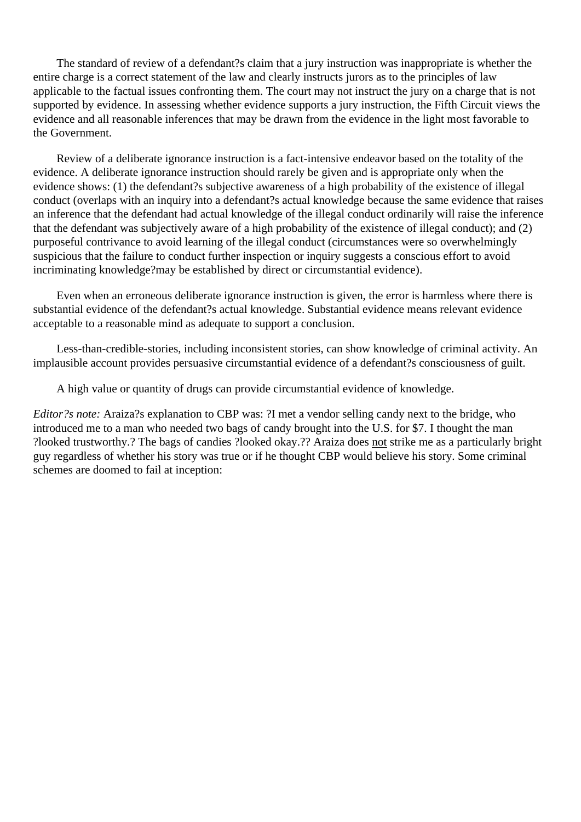The standard of review of a defendant?s claim that a jury instruction was inappropriate is whether the entire charge is a correct statement of the law and clearly instructs jurors as to the principles of law applicable to the factual issues confronting them. The court may not instruct the jury on a charge that is not supported by evidence. In assessing whether evidence supports a jury instruction, the Fifth Circuit views the evidence and all reasonable inferences that may be drawn from the evidence in the light most favorable to the Government.

 Review of a deliberate ignorance instruction is a fact-intensive endeavor based on the totality of the evidence. A deliberate ignorance instruction should rarely be given and is appropriate only when the evidence shows: (1) the defendant?s subjective awareness of a high probability of the existence of illegal conduct (overlaps with an inquiry into a defendant?s actual knowledge because the same evidence that raises an inference that the defendant had actual knowledge of the illegal conduct ordinarily will raise the inference that the defendant was subjectively aware of a high probability of the existence of illegal conduct); and (2) purposeful contrivance to avoid learning of the illegal conduct (circumstances were so overwhelmingly suspicious that the failure to conduct further inspection or inquiry suggests a conscious effort to avoid incriminating knowledge?may be established by direct or circumstantial evidence).

 Even when an erroneous deliberate ignorance instruction is given, the error is harmless where there is substantial evidence of the defendant?s actual knowledge. Substantial evidence means relevant evidence acceptable to a reasonable mind as adequate to support a conclusion.

 Less-than-credible-stories, including inconsistent stories, can show knowledge of criminal activity. An implausible account provides persuasive circumstantial evidence of a defendant?s consciousness of guilt.

A high value or quantity of drugs can provide circumstantial evidence of knowledge.

*Editor?s note:* Araiza?s explanation to CBP was: ?I met a vendor selling candy next to the bridge, who introduced me to a man who needed two bags of candy brought into the U.S. for \$7. I thought the man ?looked trustworthy.? The bags of candies ?looked okay.?? Araiza does not strike me as a particularly bright guy regardless of whether his story was true or if he thought CBP would believe his story. Some criminal schemes are doomed to fail at inception: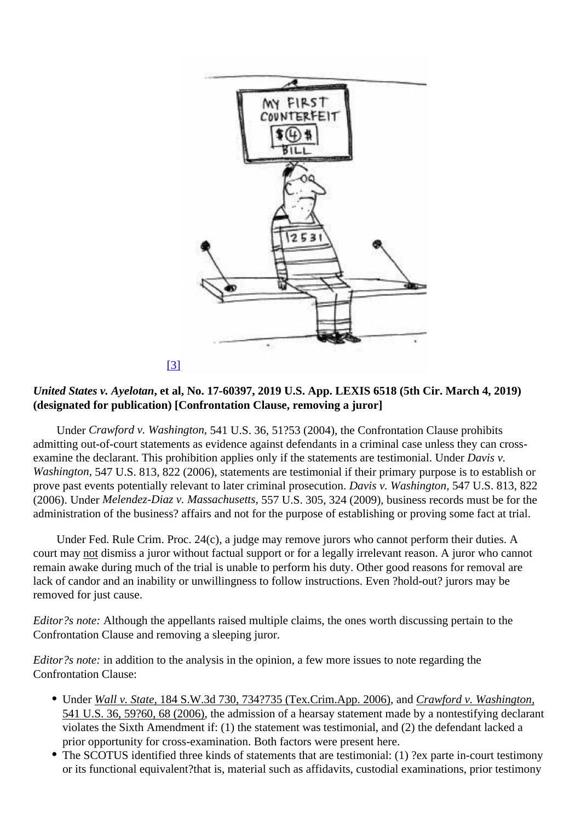## [3]

United States v. Ayelotar[et al, No. 17-60397, 2019 U.S. App. LEXIS 6518](http://archive.voiceforthedefenseonline.com/image/april-2019-sdr-1) (5th Cir. March 4, 2019) (designated for publication) [Confrontation Clause, removing a juror]

Under Crawford v. Washingtor 541 U.S. 36, 51?53 (2004), the Confrontation Clause prohibits admitting out-of-court statements as evidence against defendants in a criminal case unless they can crossexamine the declarant. This prohibition applies only if the statements are testimonialDaviser. Washington547 U.S. 813, 822 (2006), statements are testimonial if their primary purpose is to establish or prove past events potentially relevant to later criminal prosecutions v. Washingtor547 U.S. 813, 822 (2006). UndeMelendez-Diaz v. Massachuset5, U.S. 305, 324 (2009), business records must be for the administration of the business? affairs and not for the purpose of establishing or proving some fact at trial.

 Under Fed. Rule Crim. Proc. 24(c), a judge may remove jurors who cannot perform their duties. A court may not dismiss a juror without factual support or for a legally irrelevant reason. A juror who cannot remain awake during much of the trial is unable to perform his duty. Other good reasons for removal are lack of candor and an inability or unwillingness to follow instructions. Even ?hold-out? jurors may be removed for just cause.

Editor?s note: Although the appellants raised multiple claims, the ones worth discussing pertain to the Confrontation Clause and removing a sleeping juror.

Editor?s note in addition to the analysis in the opinion, a few more issues to note regarding the Confrontation Clause:

- Under Wall v. State, 184 S.W.3d 730, 734? 735 (Tex. Crim. App. 2006) dCrawford v. Washington, 541 U.S. 36, 59?60, 68 (2006) e admission of a hearsay statement made by a nontestifying declarant violates the Sixth Amendment if: (1) the statement was testimonial, and (2) the defendant lacked a prior opportunity for cross-examination. Both factors were present here.
- The SCOTUS identified three kinds of statements that are testimonial: (1) ?ex parte in-court testimony or its functional equivalent?that is, material such as affidavits, custodial examinations, prior testimony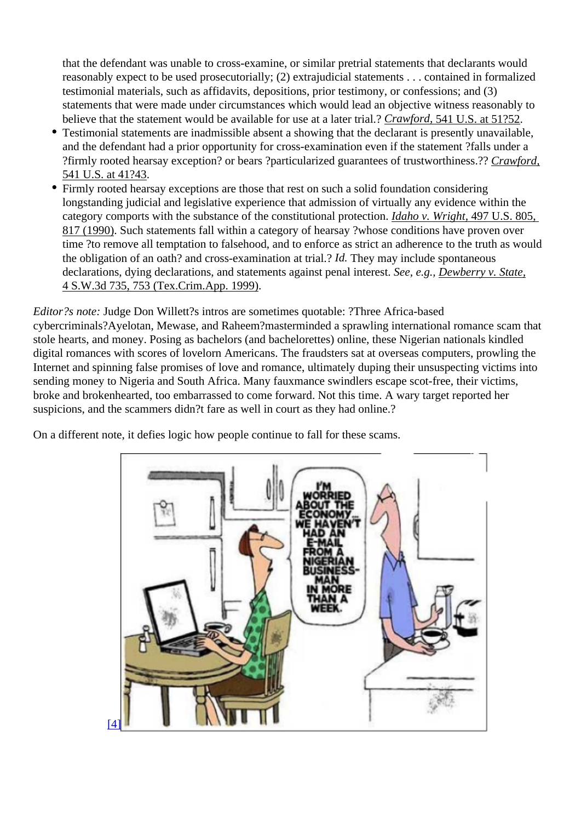that the defendant was unable to cross-examine, or similar pretrial statements that declarants would reasonably expect to be used prosecutorially; (2) extrajudicial statements . . . contained in formalized testimonial materials, such as affidavits, depositions, prior testimony, or confessions; and (3) statements that were made under circumstances which would lead an objective witness reasonably to believe that the statement would be available for use at a later trial. Formal U.S. at 51?52

- Testimonial statements are inadmissible absent a showing that the declarant is presently unavailable, and the defendant had a prior opportunity for cross-examination even if the statement ?falls under a ?firmly rooted hearsay exception? or bears ?particularized guarantees of trustworth@resseried? 541 U.S. at 41?43
- Firmly rooted hearsay exceptions are those that rest on such a solid foundation considering longstanding judicial and legislative experience that admission of virtually any evidence within the category comports with the substance of the constitutional protection v. Wright, 497 U.S. 805, 817 (1990). Such statements fall within a category of hearsay ?whose conditions have proven over time ?to remove all temptation to falsehood, and to enforce as strict an adherence to the truth as would the obligation of an oath? and cross-examination at trial. They may include spontaneous declarations, dying declarations, and statements against penal inderegat.g. Dewberry v. State, 4 S.W.3d 735, 753 (Tex.Crim.App. 1999)

Editor?s note: Judge Don Willett?s intros are sometimes quotable: ?Three Africa-based cybercriminals?Ayelotan, Mewase, and Raheem?masterminded a sprawling international romance scam that stole hearts, and money. Posing as bachelors (and bachelorettes) online, these Nigerian nationals kindled digital romances with scores of lovelorn Americans. The fraudsters sat at overseas computers, prowling the Internet and spinning false promises of love and romance, ultimately duping their unsuspecting victims into sending money to Nigeria and South Africa. Many fauxmance swindlers escape scot-free, their victims, broke and brokenhearted, too embarrassed to come forward. Not this time. A wary target reported her suspicions, and the scammers didn?t fare as well in court as they had online.?

On a different note, it defies logic how people continue to fall for these scams.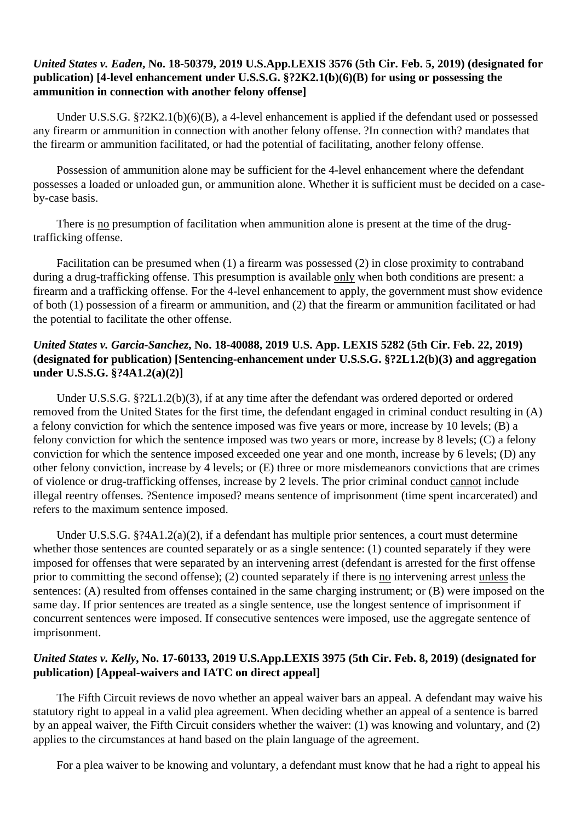#### *United States v. Eaden***, No. 18-50379, 2019 U.S.App.LEXIS 3576 (5th Cir. Feb. 5, 2019) (designated for publication) [4-level enhancement under U.S.S.G. §?2K2.1(b)(6)(B) for using or possessing the ammunition in connection with another felony offense]**

Under U.S.S.G. §?2K2.1(b)(6)(B), a 4-level enhancement is applied if the defendant used or possessed any firearm or ammunition in connection with another felony offense. ?In connection with? mandates that the firearm or ammunition facilitated, or had the potential of facilitating, another felony offense.

 Possession of ammunition alone may be sufficient for the 4-level enhancement where the defendant possesses a loaded or unloaded gun, or ammunition alone. Whether it is sufficient must be decided on a caseby-case basis.

 There is no presumption of facilitation when ammunition alone is present at the time of the drugtrafficking offense.

 Facilitation can be presumed when (1) a firearm was possessed (2) in close proximity to contraband during a drug-trafficking offense. This presumption is available only when both conditions are present: a firearm and a trafficking offense. For the 4-level enhancement to apply, the government must show evidence of both (1) possession of a firearm or ammunition, and (2) that the firearm or ammunition facilitated or had the potential to facilitate the other offense.

## *United States v. Garcia-Sanchez***, No. 18-40088, 2019 U.S. App. LEXIS 5282 (5th Cir. Feb. 22, 2019) (designated for publication) [Sentencing-enhancement under U.S.S.G. §?2L1.2(b)(3) and aggregation under U.S.S.G. §?4A1.2(a)(2)]**

 Under U.S.S.G. §?2L1.2(b)(3), if at any time after the defendant was ordered deported or ordered removed from the United States for the first time, the defendant engaged in criminal conduct resulting in (A) a felony conviction for which the sentence imposed was five years or more, increase by 10 levels; (B) a felony conviction for which the sentence imposed was two years or more, increase by 8 levels; (C) a felony conviction for which the sentence imposed exceeded one year and one month, increase by 6 levels; (D) any other felony conviction, increase by 4 levels; or (E) three or more misdemeanors convictions that are crimes of violence or drug-trafficking offenses, increase by 2 levels. The prior criminal conduct cannot include illegal reentry offenses. ?Sentence imposed? means sentence of imprisonment (time spent incarcerated) and refers to the maximum sentence imposed.

Under U.S.S.G. §?4A1.2(a)(2), if a defendant has multiple prior sentences, a court must determine whether those sentences are counted separately or as a single sentence: (1) counted separately if they were imposed for offenses that were separated by an intervening arrest (defendant is arrested for the first offense prior to committing the second offense); (2) counted separately if there is no intervening arrest unless the sentences: (A) resulted from offenses contained in the same charging instrument; or (B) were imposed on the same day. If prior sentences are treated as a single sentence, use the longest sentence of imprisonment if concurrent sentences were imposed. If consecutive sentences were imposed, use the aggregate sentence of imprisonment.

## *United States v. Kelly***, No. 17-60133, 2019 U.S.App.LEXIS 3975 (5th Cir. Feb. 8, 2019) (designated for publication) [Appeal-waivers and IATC on direct appeal]**

 The Fifth Circuit reviews de novo whether an appeal waiver bars an appeal. A defendant may waive his statutory right to appeal in a valid plea agreement. When deciding whether an appeal of a sentence is barred by an appeal waiver, the Fifth Circuit considers whether the waiver: (1) was knowing and voluntary, and (2) applies to the circumstances at hand based on the plain language of the agreement.

For a plea waiver to be knowing and voluntary, a defendant must know that he had a right to appeal his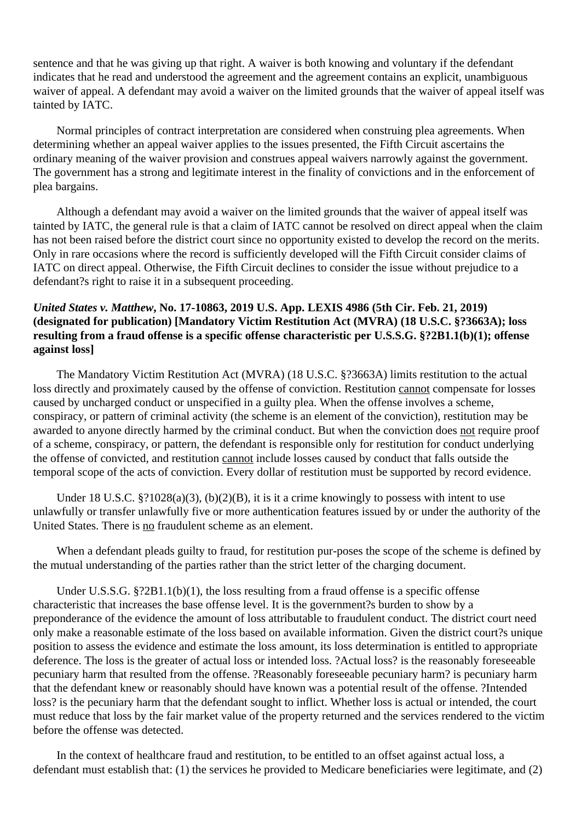sentence and that he was giving up that right. A waiver is both knowing and voluntary if the defendant indicates that he read and understood the agreement and the agreement contains an explicit, unambiguous waiver of appeal. A defendant may avoid a waiver on the limited grounds that the waiver of appeal itself was tainted by IATC.

 Normal principles of contract interpretation are considered when construing plea agreements. When determining whether an appeal waiver applies to the issues presented, the Fifth Circuit ascertains the ordinary meaning of the waiver provision and construes appeal waivers narrowly against the government. The government has a strong and legitimate interest in the finality of convictions and in the enforcement of plea bargains.

 Although a defendant may avoid a waiver on the limited grounds that the waiver of appeal itself was tainted by IATC, the general rule is that a claim of IATC cannot be resolved on direct appeal when the claim has not been raised before the district court since no opportunity existed to develop the record on the merits. Only in rare occasions where the record is sufficiently developed will the Fifth Circuit consider claims of IATC on direct appeal. Otherwise, the Fifth Circuit declines to consider the issue without prejudice to a defendant?s right to raise it in a subsequent proceeding.

#### *United States v. Matthew***, No. 17-10863, 2019 U.S. App. LEXIS 4986 (5th Cir. Feb. 21, 2019) (designated for publication) [Mandatory Victim Restitution Act (MVRA) (18 U.S.C. §?3663A); loss resulting from a fraud offense is a specific offense characteristic per U.S.S.G. §?2B1.1(b)(1); offense against loss]**

 The Mandatory Victim Restitution Act (MVRA) (18 U.S.C. §?3663A) limits restitution to the actual loss directly and proximately caused by the offense of conviction. Restitution cannot compensate for losses caused by uncharged conduct or unspecified in a guilty plea. When the offense involves a scheme, conspiracy, or pattern of criminal activity (the scheme is an element of the conviction), restitution may be awarded to anyone directly harmed by the criminal conduct. But when the conviction does not require proof of a scheme, conspiracy, or pattern, the defendant is responsible only for restitution for conduct underlying the offense of convicted, and restitution cannot include losses caused by conduct that falls outside the temporal scope of the acts of conviction. Every dollar of restitution must be supported by record evidence.

Under 18 U.S.C. §?1028(a)(3), (b)(2)(B), it is it a crime knowingly to possess with intent to use unlawfully or transfer unlawfully five or more authentication features issued by or under the authority of the United States. There is no fraudulent scheme as an element.

 When a defendant pleads guilty to fraud, for restitution pur-poses the scope of the scheme is defined by the mutual understanding of the parties rather than the strict letter of the charging document.

Under U.S.S.G. §?2B1.1(b)(1), the loss resulting from a fraud offense is a specific offense characteristic that increases the base offense level. It is the government?s burden to show by a preponderance of the evidence the amount of loss attributable to fraudulent conduct. The district court need only make a reasonable estimate of the loss based on available information. Given the district court?s unique position to assess the evidence and estimate the loss amount, its loss determination is entitled to appropriate deference. The loss is the greater of actual loss or intended loss. ?Actual loss? is the reasonably foreseeable pecuniary harm that resulted from the offense. ?Reasonably foreseeable pecuniary harm? is pecuniary harm that the defendant knew or reasonably should have known was a potential result of the offense. ?Intended loss? is the pecuniary harm that the defendant sought to inflict. Whether loss is actual or intended, the court must reduce that loss by the fair market value of the property returned and the services rendered to the victim before the offense was detected.

 In the context of healthcare fraud and restitution, to be entitled to an offset against actual loss, a defendant must establish that: (1) the services he provided to Medicare beneficiaries were legitimate, and (2)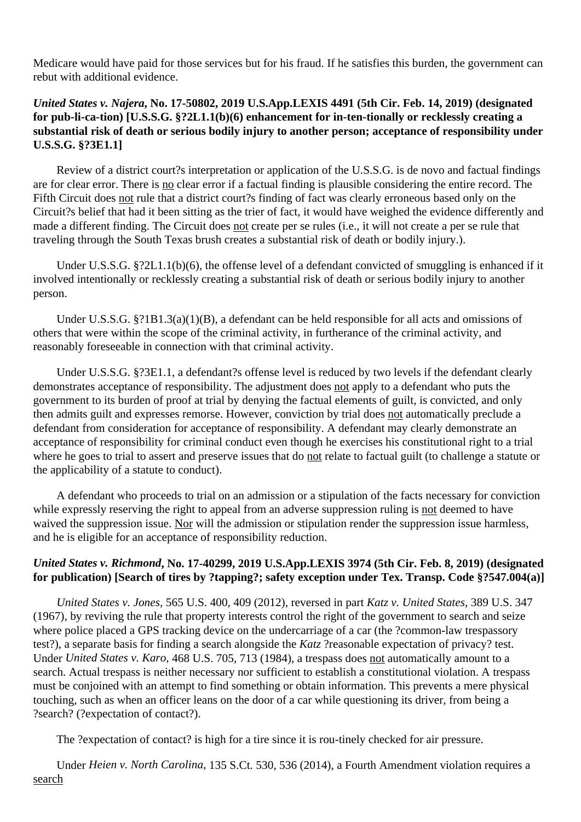Medicare would have paid for those services but for his fraud. If he satisfies this burden, the government can rebut with additional evidence.

## *United States v. Najera***, No. 17-50802, 2019 U.S.App.LEXIS 4491 (5th Cir. Feb. 14, 2019) (designated for pub-li-ca-tion) [U.S.S.G. §?2L1.1(b)(6) enhancement for in-ten-tionally or recklessly creating a substantial risk of death or serious bodily injury to another person; acceptance of responsibility under U.S.S.G. §?3E1.1]**

 Review of a district court?s interpretation or application of the U.S.S.G. is de novo and factual findings are for clear error. There is no clear error if a factual finding is plausible considering the entire record. The Fifth Circuit does not rule that a district court?s finding of fact was clearly erroneous based only on the Circuit?s belief that had it been sitting as the trier of fact, it would have weighed the evidence differently and made a different finding. The Circuit does not create per se rules (i.e., it will not create a per se rule that traveling through the South Texas brush creates a substantial risk of death or bodily injury.).

Under U.S.S.G. §?2L1.1(b)(6), the offense level of a defendant convicted of smuggling is enhanced if it involved intentionally or recklessly creating a substantial risk of death or serious bodily injury to another person.

Under U.S.S.G. §?1B1.3(a)(1)(B), a defendant can be held responsible for all acts and omissions of others that were within the scope of the criminal activity, in furtherance of the criminal activity, and reasonably foreseeable in connection with that criminal activity.

Under U.S.S.G. §?3E1.1, a defendant?s offense level is reduced by two levels if the defendant clearly demonstrates acceptance of responsibility. The adjustment does not apply to a defendant who puts the government to its burden of proof at trial by denying the factual elements of guilt, is convicted, and only then admits guilt and expresses remorse. However, conviction by trial does not automatically preclude a defendant from consideration for acceptance of responsibility. A defendant may clearly demonstrate an acceptance of responsibility for criminal conduct even though he exercises his constitutional right to a trial where he goes to trial to assert and preserve issues that do not relate to factual guilt (to challenge a statute or the applicability of a statute to conduct).

 A defendant who proceeds to trial on an admission or a stipulation of the facts necessary for conviction while expressly reserving the right to appeal from an adverse suppression ruling is not deemed to have waived the suppression issue. Nor will the admission or stipulation render the suppression issue harmless, and he is eligible for an acceptance of responsibility reduction.

## *United States v. Richmond***, No. 17-40299, 2019 U.S.App.LEXIS 3974 (5th Cir. Feb. 8, 2019) (designated for publication) [Search of tires by ?tapping?; safety exception under Tex. Transp. Code §?547.004(a)]**

 *United States v. Jones,* 565 U.S. 400, 409 (2012), reversed in part *Katz v. United States,* 389 U.S. 347 (1967), by reviving the rule that property interests control the right of the government to search and seize where police placed a GPS tracking device on the undercarriage of a car (the ?common-law trespassory test?), a separate basis for finding a search alongside the *Katz* ?reasonable expectation of privacy? test. Under *United States v. Karo,* 468 U.S. 705, 713 (1984), a trespass does not automatically amount to a search. Actual trespass is neither necessary nor sufficient to establish a constitutional violation. A trespass must be conjoined with an attempt to find something or obtain information. This prevents a mere physical touching, such as when an officer leans on the door of a car while questioning its driver, from being a ?search? (?expectation of contact?).

The ?expectation of contact? is high for a tire since it is rou-tinely checked for air pressure.

 Under *Heien v. North Carolina,* 135 S.Ct. 530, 536 (2014), a Fourth Amendment violation requires a search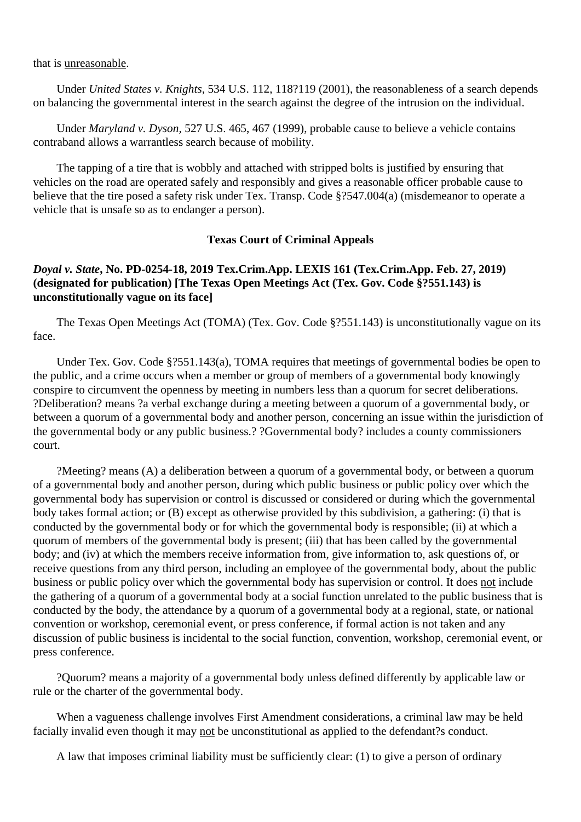#### that is unreasonable.

 Under *United States v. Knights,* 534 U.S. 112, 118?119 (2001), the reasonableness of a search depends on balancing the governmental interest in the search against the degree of the intrusion on the individual.

 Under *Maryland v. Dyson,* 527 U.S. 465, 467 (1999), probable cause to believe a vehicle contains contraband allows a warrantless search because of mobility.

 The tapping of a tire that is wobbly and attached with stripped bolts is justified by ensuring that vehicles on the road are operated safely and responsibly and gives a reasonable officer probable cause to believe that the tire posed a safety risk under Tex. Transp. Code §?547.004(a) (misdemeanor to operate a vehicle that is unsafe so as to endanger a person).

#### **Texas Court of Criminal Appeals**

#### *Doyal v. State***, No. PD-0254-18, 2019 Tex.Crim.App. LEXIS 161 (Tex.Crim.App. Feb. 27, 2019) (designated for publication) [The Texas Open Meetings Act (Tex. Gov. Code §?551.143) is unconstitutionally vague on its face]**

 The Texas Open Meetings Act (TOMA) (Tex. Gov. Code §?551.143) is unconstitutionally vague on its face.

 Under Tex. Gov. Code §?551.143(a), TOMA requires that meetings of governmental bodies be open to the public, and a crime occurs when a member or group of members of a governmental body knowingly conspire to circumvent the openness by meeting in numbers less than a quorum for secret deliberations. ?Deliberation? means ?a verbal exchange during a meeting between a quorum of a governmental body, or between a quorum of a governmental body and another person, concerning an issue within the jurisdiction of the governmental body or any public business.? ?Governmental body? includes a county commissioners court.

 ?Meeting? means (A) a deliberation between a quorum of a governmental body, or between a quorum of a governmental body and another person, during which public business or public policy over which the governmental body has supervision or control is discussed or considered or during which the governmental body takes formal action; or (B) except as otherwise provided by this subdivision, a gathering: (i) that is conducted by the governmental body or for which the governmental body is responsible; (ii) at which a quorum of members of the governmental body is present; (iii) that has been called by the governmental body; and (iv) at which the members receive information from, give information to, ask questions of, or receive questions from any third person, including an employee of the governmental body, about the public business or public policy over which the governmental body has supervision or control. It does not include the gathering of a quorum of a governmental body at a social function unrelated to the public business that is conducted by the body, the attendance by a quorum of a governmental body at a regional, state, or national convention or workshop, ceremonial event, or press conference, if formal action is not taken and any discussion of public business is incidental to the social function, convention, workshop, ceremonial event, or press conference.

 ?Quorum? means a majority of a governmental body unless defined differently by applicable law or rule or the charter of the governmental body.

 When a vagueness challenge involves First Amendment considerations, a criminal law may be held facially invalid even though it may not be unconstitutional as applied to the defendant?s conduct.

A law that imposes criminal liability must be sufficiently clear: (1) to give a person of ordinary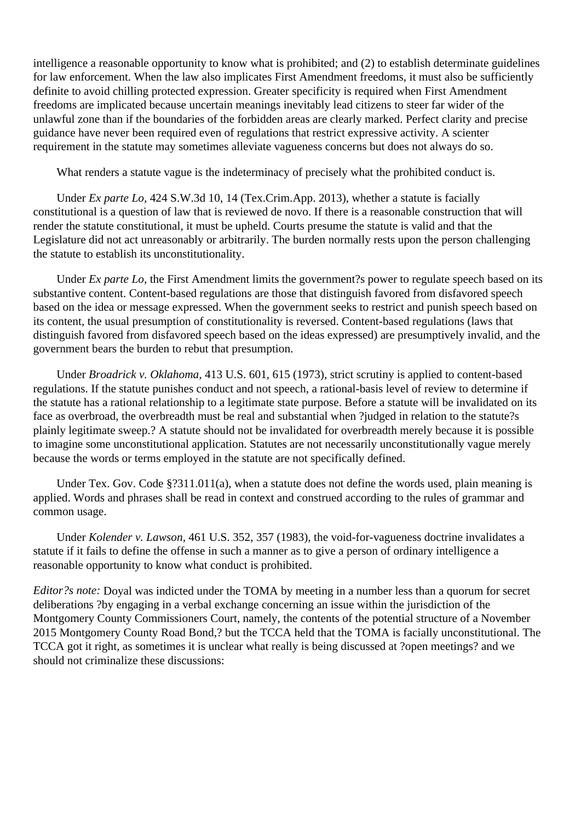intelligence a reasonable opportunity to know what is prohibited; and (2) to establish determinate guidelines for law enforcement. When the law also implicates First Amendment freedoms, it must also be sufficiently definite to avoid chilling protected expression. Greater specificity is required when First Amendment freedoms are implicated because uncertain meanings inevitably lead citizens to steer far wider of the unlawful zone than if the boundaries of the forbidden areas are clearly marked. Perfect clarity and precise guidance have never been required even of regulations that restrict expressive activity. A scienter requirement in the statute may sometimes alleviate vagueness concerns but does not always do so.

What renders a statute vague is the indeterminacy of precisely what the prohibited conduct is.

 Under *Ex parte Lo,* 424 S.W.3d 10, 14 (Tex.Crim.App. 2013), whether a statute is facially constitutional is a question of law that is reviewed de novo. If there is a reasonable construction that will render the statute constitutional, it must be upheld. Courts presume the statute is valid and that the Legislature did not act unreasonably or arbitrarily. The burden normally rests upon the person challenging the statute to establish its unconstitutionality.

 Under *Ex parte Lo,* the First Amendment limits the government?s power to regulate speech based on its substantive content. Content-based regulations are those that distinguish favored from disfavored speech based on the idea or message expressed. When the government seeks to restrict and punish speech based on its content, the usual presumption of constitutionality is reversed. Content-based regulations (laws that distinguish favored from disfavored speech based on the ideas expressed) are presumptively invalid, and the government bears the burden to rebut that presumption.

 Under *Broadrick v. Oklahoma,* 413 U.S. 601, 615 (1973), strict scrutiny is applied to content-based regulations. If the statute punishes conduct and not speech, a rational-basis level of review to determine if the statute has a rational relationship to a legitimate state purpose. Before a statute will be invalidated on its face as overbroad, the overbreadth must be real and substantial when ?judged in relation to the statute?s plainly legitimate sweep.? A statute should not be invalidated for overbreadth merely because it is possible to imagine some unconstitutional application. Statutes are not necessarily unconstitutionally vague merely because the words or terms employed in the statute are not specifically defined.

 Under Tex. Gov. Code §?311.011(a), when a statute does not define the words used, plain meaning is applied. Words and phrases shall be read in context and construed according to the rules of grammar and common usage.

 Under *Kolender v. Lawson,* 461 U.S. 352, 357 (1983), the void-for-vagueness doctrine invalidates a statute if it fails to define the offense in such a manner as to give a person of ordinary intelligence a reasonable opportunity to know what conduct is prohibited.

*Editor?s note:* Doyal was indicted under the TOMA by meeting in a number less than a quorum for secret deliberations ?by engaging in a verbal exchange concerning an issue within the jurisdiction of the Montgomery County Commissioners Court, namely, the contents of the potential structure of a November 2015 Montgomery County Road Bond,? but the TCCA held that the TOMA is facially unconstitutional. The TCCA got it right, as sometimes it is unclear what really is being discussed at ?open meetings? and we should not criminalize these discussions: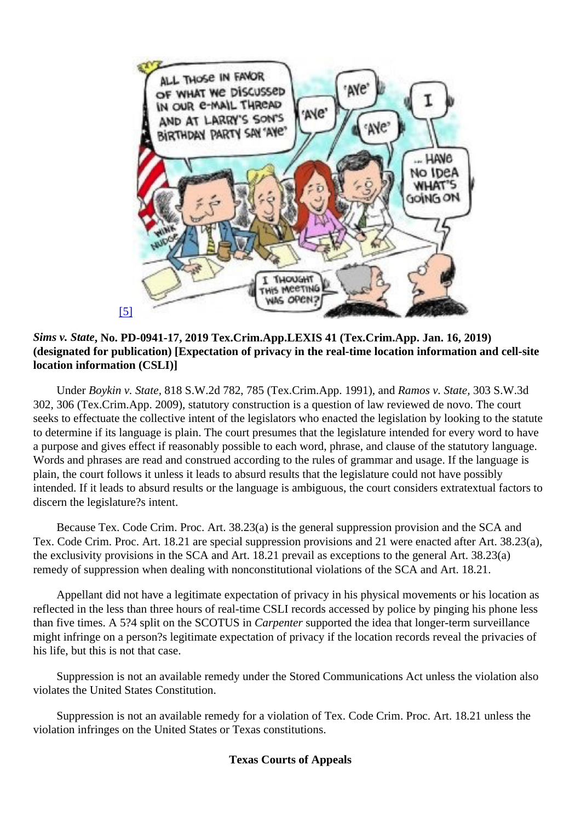# [5]

Sims v. StateNo[. PD-0941-17, 2019 Tex.Crim.App.LEXIS 41 \(Tex.Crim.App. Jan. 1](http://archive.voiceforthedefenseonline.com/image/april-2019-sdr-3)6, 2019) (designated for publication) [Expectation of privacy in the real-time location information and cell-site location information (CSLI)]

UnderBoykin v. State \$18 S.W.2d 782, 785 (Tex.Crim.App. 1991), Ramos v. State 03 S.W.3d 302, 306 (Tex.Crim.App. 2009), statutory construction is a question of law reviewed de novo. The court seeks to effectuate the collective intent of the legislators who enacted the legislation by looking to the statute to determine if its language is plain. The court presumes that the legislature intended for every word to have a purpose and gives effect if reasonably possible to each word, phrase, and clause of the statutory language. Words and phrases are read and construed according to the rules of grammar and usage. If the language is plain, the court follows it unless it leads to absurd results that the legislature could not have possibly intended. If it leads to absurd results or the language is ambiguous, the court considers extratextual factors to discern the legislature?s intent.

 Because Tex. Code Crim. Proc. Art. 38.23(a) is the general suppression provision and the SCA and Tex. Code Crim. Proc. Art. 18.21 are special suppression provisions and 21 were enacted after Art. 38.23(a), the exclusivity provisions in the SCA and Art. 18.21 prevail as exceptions to the general Art. 38.23(a) remedy of suppression when dealing with nonconstitutional violations of the SCA and Art. 18.21.

 Appellant did not have a legitimate expectation of privacy in his physical movements or his location as reflected in the less than three hours of real-time CSLI records accessed by police by pinging his phone less than five times. A 5?4 split on the SCOTUS arpenter supported the idea that longer-term surveillance might infringe on a person?s legitimate expectation of privacy if the location records reveal the privacies of his life, but this is not that case.

 Suppression is not an available remedy under the Stored Communications Act unless the violation also violates the United States Constitution.

 Suppression is not an available remedy for a violation of Tex. Code Crim. Proc. Art. 18.21 unless the violation infringes on the United States or Texas constitutions.

Texas Courts of Appeals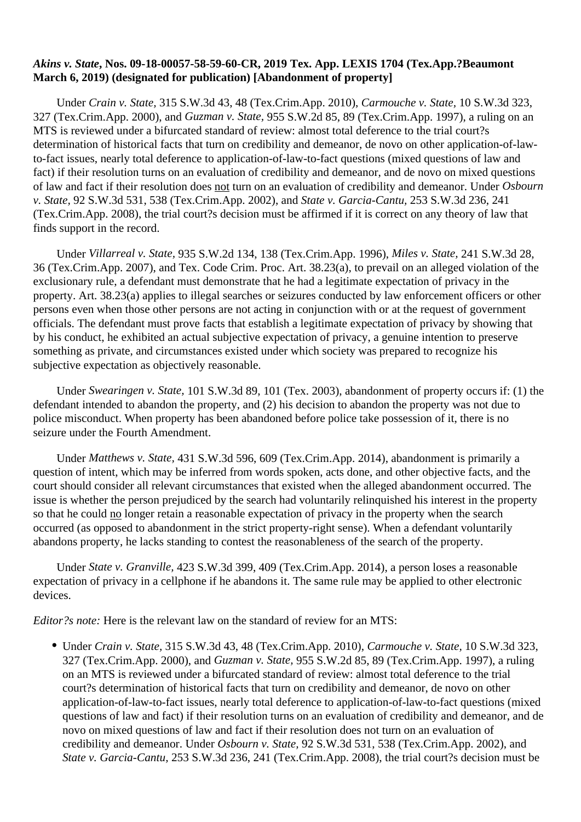#### *Akins v. State***, Nos. 09-18-00057-58-59-60-CR, 2019 Tex. App. LEXIS 1704 (Tex.App.?Beaumont March 6, 2019) (designated for publication) [Abandonment of property]**

 Under *Crain v. State,* 315 S.W.3d 43, 48 (Tex.Crim.App. 2010), *Carmouche v. State,* 10 S.W.3d 323, 327 (Tex.Crim.App. 2000), and *Guzman v. State,* 955 S.W.2d 85, 89 (Tex.Crim.App. 1997), a ruling on an MTS is reviewed under a bifurcated standard of review: almost total deference to the trial court?s determination of historical facts that turn on credibility and demeanor, de novo on other application-of-lawto-fact issues, nearly total deference to application-of-law-to-fact questions (mixed questions of law and fact) if their resolution turns on an evaluation of credibility and demeanor, and de novo on mixed questions of law and fact if their resolution does not turn on an evaluation of credibility and demeanor. Under *Osbourn v. State,* 92 S.W.3d 531, 538 (Tex.Crim.App. 2002), and *State v. Garcia-Cantu,* 253 S.W.3d 236, 241 (Tex.Crim.App. 2008), the trial court?s decision must be affirmed if it is correct on any theory of law that finds support in the record.

 Under *Villarreal v. State,* 935 S.W.2d 134, 138 (Tex.Crim.App. 1996), *Miles v. State,* 241 S.W.3d 28, 36 (Tex.Crim.App. 2007), and Tex. Code Crim. Proc. Art. 38.23(a), to prevail on an alleged violation of the exclusionary rule, a defendant must demonstrate that he had a legitimate expectation of privacy in the property. Art. 38.23(a) applies to illegal searches or seizures conducted by law enforcement officers or other persons even when those other persons are not acting in conjunction with or at the request of government officials. The defendant must prove facts that establish a legitimate expectation of privacy by showing that by his conduct, he exhibited an actual subjective expectation of privacy, a genuine intention to preserve something as private, and circumstances existed under which society was prepared to recognize his subjective expectation as objectively reasonable.

 Under *Swearingen v. State,* 101 S.W.3d 89, 101 (Tex. 2003), abandonment of property occurs if: (1) the defendant intended to abandon the property, and (2) his decision to abandon the property was not due to police misconduct. When property has been abandoned before police take possession of it, there is no seizure under the Fourth Amendment.

 Under *Matthews v. State,* 431 S.W.3d 596, 609 (Tex.Crim.App. 2014), abandonment is primarily a question of intent, which may be inferred from words spoken, acts done, and other objective facts, and the court should consider all relevant circumstances that existed when the alleged abandonment occurred. The issue is whether the person prejudiced by the search had voluntarily relinquished his interest in the property so that he could no longer retain a reasonable expectation of privacy in the property when the search occurred (as opposed to abandonment in the strict property-right sense). When a defendant voluntarily abandons property, he lacks standing to contest the reasonableness of the search of the property.

 Under *State v. Granville,* 423 S.W.3d 399, 409 (Tex.Crim.App. 2014), a person loses a reasonable expectation of privacy in a cellphone if he abandons it. The same rule may be applied to other electronic devices.

*Editor?s note:* Here is the relevant law on the standard of review for an MTS:

Under *Crain v. State,* 315 S.W.3d 43, 48 (Tex.Crim.App. 2010), *Carmouche v. State,* 10 S.W.3d 323, 327 (Tex.Crim.App. 2000), and *Guzman v. State,* 955 S.W.2d 85, 89 (Tex.Crim.App. 1997), a ruling on an MTS is reviewed under a bifurcated standard of review: almost total deference to the trial court?s determination of historical facts that turn on credibility and demeanor, de novo on other application-of-law-to-fact issues, nearly total deference to application-of-law-to-fact questions (mixed questions of law and fact) if their resolution turns on an evaluation of credibility and demeanor, and de novo on mixed questions of law and fact if their resolution does not turn on an evaluation of credibility and demeanor. Under *Osbourn v. State,* 92 S.W.3d 531, 538 (Tex.Crim.App. 2002), and *State v. Garcia-Cantu,* 253 S.W.3d 236, 241 (Tex.Crim.App. 2008), the trial court?s decision must be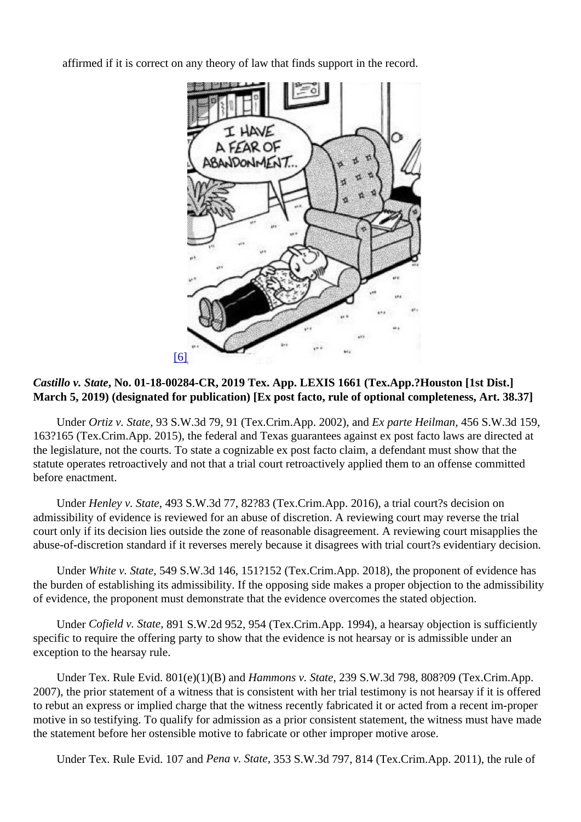affirmed if it is correct on any theory of law that finds support in the record.

[6]

Castillo v. StateNo. 01-18-[00284-CR, 2019 Tex. App. LEXIS 1661 \(Tex.A](http://archive.voiceforthedefenseonline.com/image/april-2019-sdr-4)pp.?Houston [1st Dist.] March 5, 2019) (designated for publication) [Ex post facto, rule of optional completeness, Art. 38.37]

UnderOrtiz v. State93 S.W.3d 79, 91 (Tex.Crim.App. 2002), armdparte Heilman, 456 S.W.3d 159, 163?165 (Tex.Crim.App. 2015), the federal and Texas guarantees against ex post facto laws are directed at the legislature, not the courts. To state a cognizable ex post facto claim, a defendant must show that the statute operates retroactively and not that a trial court retroactively applied them to an offense committed before enactment.

UnderHenley v. State493 S.W.3d 77, 82?83 (Tex.Crim.App. 2016), a trial court?s decision on admissibility of evidence is reviewed for an abuse of discretion. A reviewing court may reverse the trial court only if its decision lies outside the zone of reasonable disagreement. A reviewing court misapplies the abuse-of-discretion standard if it reverses merely because it disagrees with trial court?s evidentiary decision.

Under White v. State 549 S.W.3d 146, 151?152 (Tex. Crim. App. 2018), the proponent of evidence has the burden of establishing its admissibility. If the opposing side makes a proper objection to the admissibility of evidence, the proponent must demonstrate that the evidence overcomes the stated objection.

UnderCofield v. State891 S.W.2d 952, 954 (Tex.Crim.App. 1994), a hearsay objection is sufficiently specific to require the offering party to show that the evidence is not hearsay or is admissible under an exception to the hearsay rule.

Under Tex. Rule Evid. 801(e)(1)(B) and Hammons v. State 39 S.W.3d 798, 808?09 (Tex.Crim.App. 2007), the prior statement of a witness that is consistent with her trial testimony is not hearsay if it is offered to rebut an express or implied charge that the witness recently fabricated it or acted from a recent im-proper motive in so testifying. To qualify for admission as a prior consistent statement, the witness must have made the statement before her ostensible motive to fabricate or other improper motive arose.

Under Tex. Rule Evid. 107 a Retna v. State 353 S.W.3d 797, 814 (Tex.Crim.App. 2011), the rule of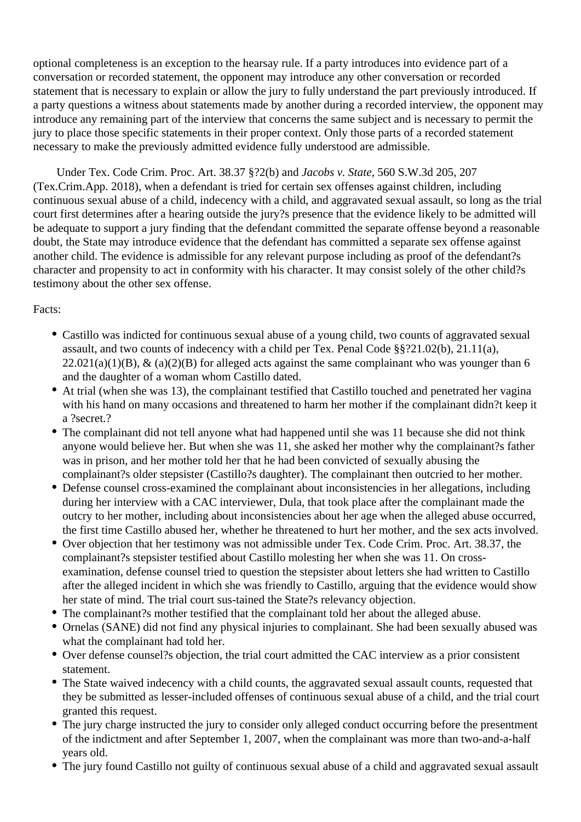optional completeness is an exception to the hearsay rule. If a party introduces into evidence part of a conversation or recorded statement, the opponent may introduce any other conversation or recorded statement that is necessary to explain or allow the jury to fully understand the part previously introduced. If a party questions a witness about statements made by another during a recorded interview, the opponent may introduce any remaining part of the interview that concerns the same subject and is necessary to permit the jury to place those specific statements in their proper context. Only those parts of a recorded statement necessary to make the previously admitted evidence fully understood are admissible.

 Under Tex. Code Crim. Proc. Art. 38.37 §?2(b) and *Jacobs v. State,* 560 S.W.3d 205, 207 (Tex.Crim.App. 2018), when a defendant is tried for certain sex offenses against children, including continuous sexual abuse of a child, indecency with a child, and aggravated sexual assault, so long as the trial court first determines after a hearing outside the jury?s presence that the evidence likely to be admitted will be adequate to support a jury finding that the defendant committed the separate offense beyond a reasonable doubt, the State may introduce evidence that the defendant has committed a separate sex offense against another child. The evidence is admissible for any relevant purpose including as proof of the defendant?s character and propensity to act in conformity with his character. It may consist solely of the other child?s testimony about the other sex offense.

## Facts:

- Castillo was indicted for continuous sexual abuse of a young child, two counts of aggravated sexual assault, and two counts of indecency with a child per Tex. Penal Code §§?21.02(b), 21.11(a),  $22.021(a)(1)(B)$ , &  $(a)(2)(B)$  for alleged acts against the same complainant who was younger than 6 and the daughter of a woman whom Castillo dated.
- At trial (when she was 13), the complainant testified that Castillo touched and penetrated her vagina with his hand on many occasions and threatened to harm her mother if the complainant didn?t keep it a ?secret.?
- The complainant did not tell anyone what had happened until she was 11 because she did not think anyone would believe her. But when she was 11, she asked her mother why the complainant?s father was in prison, and her mother told her that he had been convicted of sexually abusing the complainant?s older stepsister (Castillo?s daughter). The complainant then outcried to her mother.
- Defense counsel cross-examined the complainant about inconsistencies in her allegations, including during her interview with a CAC interviewer, Dula, that took place after the complainant made the outcry to her mother, including about inconsistencies about her age when the alleged abuse occurred, the first time Castillo abused her, whether he threatened to hurt her mother, and the sex acts involved.
- Over objection that her testimony was not admissible under Tex. Code Crim. Proc. Art. 38.37, the complainant?s stepsister testified about Castillo molesting her when she was 11. On crossexamination, defense counsel tried to question the stepsister about letters she had written to Castillo after the alleged incident in which she was friendly to Castillo, arguing that the evidence would show her state of mind. The trial court sus-tained the State?s relevancy objection.
- The complainant?s mother testified that the complainant told her about the alleged abuse.
- Ornelas (SANE) did not find any physical injuries to complainant. She had been sexually abused was what the complainant had told her.
- Over defense counsel?s objection, the trial court admitted the CAC interview as a prior consistent statement.
- The State waived indecency with a child counts, the aggravated sexual assault counts, requested that they be submitted as lesser-included offenses of continuous sexual abuse of a child, and the trial court granted this request.
- The jury charge instructed the jury to consider only alleged conduct occurring before the presentment of the indictment and after September 1, 2007, when the complainant was more than two-and-a-half years old.
- The jury found Castillo not guilty of continuous sexual abuse of a child and aggravated sexual assault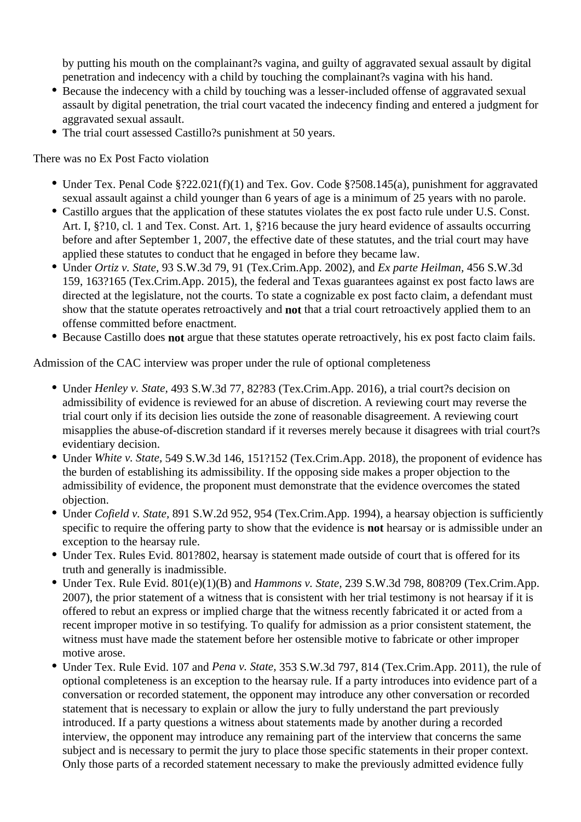by putting his mouth on the complainant?s vagina, and guilty of aggravated sexual assault by digital penetration and indecency with a child by touching the complainant?s vagina with his hand.

- Because the indecency with a child by touching was a lesser-included offense of aggravated sexual assault by digital penetration, the trial court vacated the indecency finding and entered a judgment for aggravated sexual assault.
- The trial court assessed Castillo?s punishment at 50 years.

There was no Ex Post Facto violation

- Under Tex. Penal Code §?22.021(f)(1) and Tex. Gov. Code §?508.145(a), punishment for aggravated sexual assault against a child younger than 6 years of age is a minimum of 25 years with no parole.
- Castillo argues that the application of these statutes violates the ex post facto rule under U.S. Const. Art. I, §?10, cl. 1 and Tex. Const. Art. 1, §?16 because the jury heard evidence of assaults occurring before and after September 1, 2007, the effective date of these statutes, and the trial court may have applied these statutes to conduct that he engaged in before they became law.
- Under *Ortiz v. State,* 93 S.W.3d 79, 91 (Tex.Crim.App. 2002), and *Ex parte Heilman,* 456 S.W.3d 159, 163?165 (Tex.Crim.App. 2015), the federal and Texas guarantees against ex post facto laws are directed at the legislature, not the courts. To state a cognizable ex post facto claim, a defendant must show that the statute operates retroactively and **not** that a trial court retroactively applied them to an offense committed before enactment.
- Because Castillo does **not** argue that these statutes operate retroactively, his ex post facto claim fails.

Admission of the CAC interview was proper under the rule of optional completeness

- Under *Henley v. State,* 493 S.W.3d 77, 82?83 (Tex.Crim.App. 2016), a trial court?s decision on admissibility of evidence is reviewed for an abuse of discretion. A reviewing court may reverse the trial court only if its decision lies outside the zone of reasonable disagreement. A reviewing court misapplies the abuse-of-discretion standard if it reverses merely because it disagrees with trial court?s evidentiary decision.
- Under *White v. State,* 549 S.W.3d 146, 151?152 (Tex.Crim.App. 2018), the proponent of evidence has the burden of establishing its admissibility. If the opposing side makes a proper objection to the admissibility of evidence, the proponent must demonstrate that the evidence overcomes the stated objection.
- Under *Cofield v. State,* 891 S.W.2d 952, 954 (Tex.Crim.App. 1994), a hearsay objection is sufficiently specific to require the offering party to show that the evidence is **not** hearsay or is admissible under an exception to the hearsay rule.
- Under Tex. Rules Evid. 801?802, hearsay is statement made outside of court that is offered for its truth and generally is inadmissible.
- Under Tex. Rule Evid. 801(e)(1)(B) and *Hammons v. State,* 239 S.W.3d 798, 808?09 (Tex.Crim.App. 2007), the prior statement of a witness that is consistent with her trial testimony is not hearsay if it is offered to rebut an express or implied charge that the witness recently fabricated it or acted from a recent improper motive in so testifying. To qualify for admission as a prior consistent statement, the witness must have made the statement before her ostensible motive to fabricate or other improper motive arose.
- Under Tex. Rule Evid. 107 and *Pena v. State,* 353 S.W.3d 797, 814 (Tex.Crim.App. 2011), the rule of optional completeness is an exception to the hearsay rule. If a party introduces into evidence part of a conversation or recorded statement, the opponent may introduce any other conversation or recorded statement that is necessary to explain or allow the jury to fully understand the part previously introduced. If a party questions a witness about statements made by another during a recorded interview, the opponent may introduce any remaining part of the interview that concerns the same subject and is necessary to permit the jury to place those specific statements in their proper context. Only those parts of a recorded statement necessary to make the previously admitted evidence fully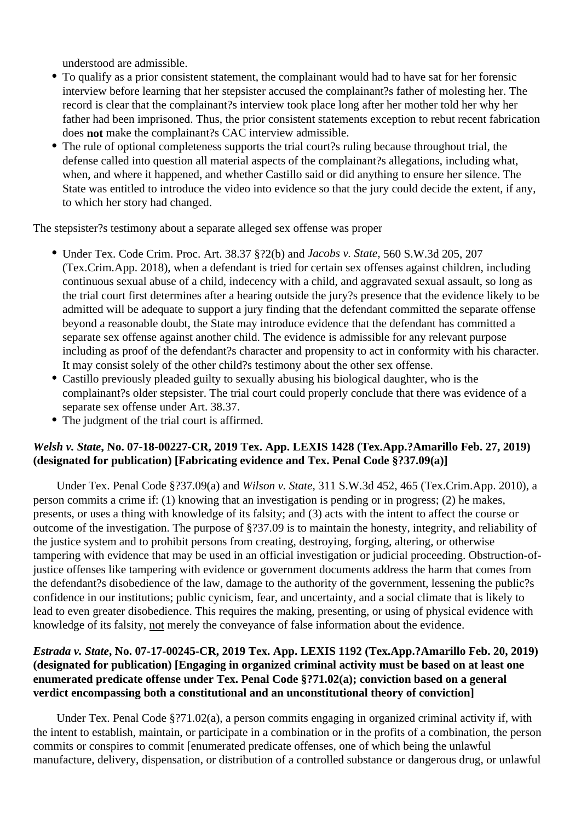understood are admissible.

- To qualify as a prior consistent statement, the complainant would had to have sat for her forensic interview before learning that her stepsister accused the complainant?s father of molesting her. The record is clear that the complainant?s interview took place long after her mother told her why her father had been imprisoned. Thus, the prior consistent statements exception to rebut recent fabrication does **not** make the complainant?s CAC interview admissible.
- The rule of optional completeness supports the trial court?s ruling because throughout trial, the defense called into question all material aspects of the complainant?s allegations, including what, when, and where it happened, and whether Castillo said or did anything to ensure her silence. The State was entitled to introduce the video into evidence so that the jury could decide the extent, if any, to which her story had changed.

The stepsister?s testimony about a separate alleged sex offense was proper

- Under Tex. Code Crim. Proc. Art. 38.37 §?2(b) and *Jacobs v. State,* 560 S.W.3d 205, 207 (Tex.Crim.App. 2018), when a defendant is tried for certain sex offenses against children, including continuous sexual abuse of a child, indecency with a child, and aggravated sexual assault, so long as the trial court first determines after a hearing outside the jury?s presence that the evidence likely to be admitted will be adequate to support a jury finding that the defendant committed the separate offense beyond a reasonable doubt, the State may introduce evidence that the defendant has committed a separate sex offense against another child. The evidence is admissible for any relevant purpose including as proof of the defendant?s character and propensity to act in conformity with his character. It may consist solely of the other child?s testimony about the other sex offense.
- Castillo previously pleaded guilty to sexually abusing his biological daughter, who is the complainant?s older stepsister. The trial court could properly conclude that there was evidence of a separate sex offense under Art. 38.37.
- The judgment of the trial court is affirmed.

## *Welsh v. State***, No. 07-18-00227-CR, 2019 Tex. App. LEXIS 1428 (Tex.App.?Amarillo Feb. 27, 2019) (designated for publication) [Fabricating evidence and Tex. Penal Code §?37.09(a)]**

 Under Tex. Penal Code §?37.09(a) and *Wilson v. State,* 311 S.W.3d 452, 465 (Tex.Crim.App. 2010), a person commits a crime if: (1) knowing that an investigation is pending or in progress; (2) he makes, presents, or uses a thing with knowledge of its falsity; and (3) acts with the intent to affect the course or outcome of the investigation. The purpose of §?37.09 is to maintain the honesty, integrity, and reliability of the justice system and to prohibit persons from creating, destroying, forging, altering, or otherwise tampering with evidence that may be used in an official investigation or judicial proceeding. Obstruction-ofjustice offenses like tampering with evidence or government documents address the harm that comes from the defendant?s disobedience of the law, damage to the authority of the government, lessening the public?s confidence in our institutions; public cynicism, fear, and uncertainty, and a social climate that is likely to lead to even greater disobedience. This requires the making, presenting, or using of physical evidence with knowledge of its falsity, not merely the conveyance of false information about the evidence.

## *Estrada v. State***, No. 07-17-00245-CR, 2019 Tex. App. LEXIS 1192 (Tex.App.?Amarillo Feb. 20, 2019) (designated for publication) [Engaging in organized criminal activity must be based on at least one enumerated predicate offense under Tex. Penal Code §?71.02(a); conviction based on a general verdict encompassing both a constitutional and an unconstitutional theory of conviction]**

 Under Tex. Penal Code §?71.02(a), a person commits engaging in organized criminal activity if, with the intent to establish, maintain, or participate in a combination or in the profits of a combination, the person commits or conspires to commit [enumerated predicate offenses, one of which being the unlawful manufacture, delivery, dispensation, or distribution of a controlled substance or dangerous drug, or unlawful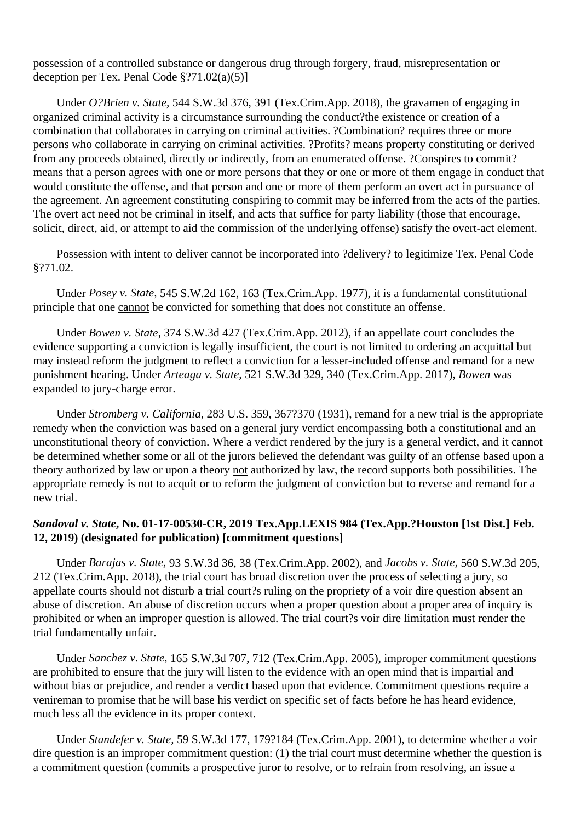possession of a controlled substance or dangerous drug through forgery, fraud, misrepresentation or deception per Tex. Penal Code §?71.02(a)(5)]

 Under *O?Brien v. State,* 544 S.W.3d 376, 391 (Tex.Crim.App. 2018), the gravamen of engaging in organized criminal activity is a circumstance surrounding the conduct?the existence or creation of a combination that collaborates in carrying on criminal activities. ?Combination? requires three or more persons who collaborate in carrying on criminal activities. ?Profits? means property constituting or derived from any proceeds obtained, directly or indirectly, from an enumerated offense. ?Conspires to commit? means that a person agrees with one or more persons that they or one or more of them engage in conduct that would constitute the offense, and that person and one or more of them perform an overt act in pursuance of the agreement. An agreement constituting conspiring to commit may be inferred from the acts of the parties. The overt act need not be criminal in itself, and acts that suffice for party liability (those that encourage, solicit, direct, aid, or attempt to aid the commission of the underlying offense) satisfy the overt-act element.

 Possession with intent to deliver cannot be incorporated into ?delivery? to legitimize Tex. Penal Code §?71.02.

 Under *Posey v. State,* 545 S.W.2d 162, 163 (Tex.Crim.App. 1977), it is a fundamental constitutional principle that one cannot be convicted for something that does not constitute an offense.

 Under *Bowen v. State,* 374 S.W.3d 427 (Tex.Crim.App. 2012), if an appellate court concludes the evidence supporting a conviction is legally insufficient, the court is not limited to ordering an acquittal but may instead reform the judgment to reflect a conviction for a lesser-included offense and remand for a new punishment hearing. Under *Arteaga v. State,* 521 S.W.3d 329, 340 (Tex.Crim.App. 2017), *Bowen* was expanded to jury-charge error.

 Under *Stromberg v. California,* 283 U.S. 359, 367?370 (1931), remand for a new trial is the appropriate remedy when the conviction was based on a general jury verdict encompassing both a constitutional and an unconstitutional theory of conviction. Where a verdict rendered by the jury is a general verdict, and it cannot be determined whether some or all of the jurors believed the defendant was guilty of an offense based upon a theory authorized by law or upon a theory not authorized by law, the record supports both possibilities. The appropriate remedy is not to acquit or to reform the judgment of conviction but to reverse and remand for a new trial.

#### *Sandoval v. State***, No. 01-17-00530-CR, 2019 Tex.App.LEXIS 984 (Tex.App.?Houston [1st Dist.] Feb. 12, 2019) (designated for publication) [commitment questions]**

 Under *Barajas v. State,* 93 S.W.3d 36, 38 (Tex.Crim.App. 2002), and *Jacobs v. State,* 560 S.W.3d 205, 212 (Tex.Crim.App. 2018), the trial court has broad discretion over the process of selecting a jury, so appellate courts should not disturb a trial court?s ruling on the propriety of a voir dire question absent an abuse of discretion. An abuse of discretion occurs when a proper question about a proper area of inquiry is prohibited or when an improper question is allowed. The trial court?s voir dire limitation must render the trial fundamentally unfair.

 Under *Sanchez v. State,* 165 S.W.3d 707, 712 (Tex.Crim.App. 2005), improper commitment questions are prohibited to ensure that the jury will listen to the evidence with an open mind that is impartial and without bias or prejudice, and render a verdict based upon that evidence. Commitment questions require a venireman to promise that he will base his verdict on specific set of facts before he has heard evidence, much less all the evidence in its proper context.

 Under *Standefer v. State,* 59 S.W.3d 177, 179?184 (Tex.Crim.App. 2001), to determine whether a voir dire question is an improper commitment question: (1) the trial court must determine whether the question is a commitment question (commits a prospective juror to resolve, or to refrain from resolving, an issue a